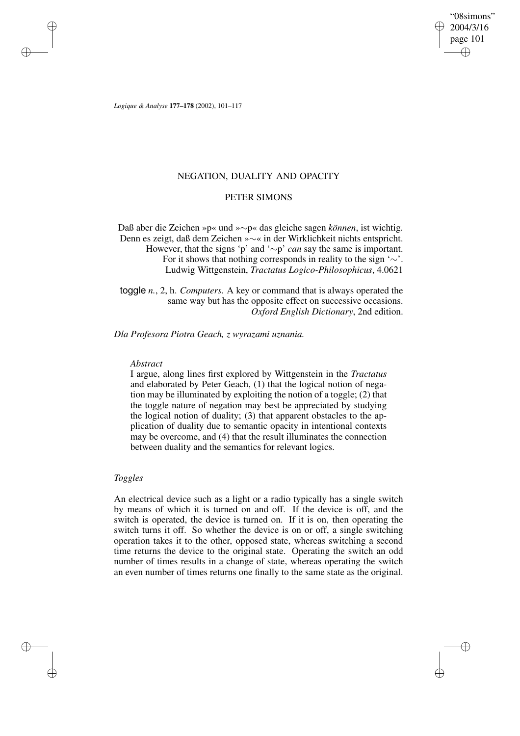"08simons" 2004/3/16 page 101 ✐ ✐

✐

✐

*Logique & Analyse* **177–178** (2002), 101–117

✐

✐

✐

✐

## NEGATION, DUALITY AND OPACITY

# PETER SIMONS

Daß aber die Zeichen »p« und »∼p« das gleiche sagen *können*, ist wichtig. Denn es zeigt, daß dem Zeichen »∼« in der Wirklichkeit nichts entspricht. However, that the signs 'p' and '∼p' *can* say the same is important. For it shows that nothing corresponds in reality to the sign ' $\sim$ '. Ludwig Wittgenstein, *Tractatus Logico-Philosophicus*, 4.0621

toggle *n.*, 2, h. *Computers.* A key or command that is always operated the same way but has the opposite effect on successive occasions. *Oxford English Dictionary*, 2nd edition.

*Dla Profesora Piotra Geach, z wyrazami uznania.*

### *Abstract*

I argue, along lines first explored by Wittgenstein in the *Tractatus* and elaborated by Peter Geach, (1) that the logical notion of negation may be illuminated by exploiting the notion of a toggle; (2) that the toggle nature of negation may best be appreciated by studying the logical notion of duality; (3) that apparent obstacles to the application of duality due to semantic opacity in intentional contexts may be overcome, and (4) that the result illuminates the connection between duality and the semantics for relevant logics.

# *Toggles*

An electrical device such as a light or a radio typically has a single switch by means of which it is turned on and off. If the device is off, and the switch is operated, the device is turned on. If it is on, then operating the switch turns it off. So whether the device is on or off, a single switching operation takes it to the other, opposed state, whereas switching a second time returns the device to the original state. Operating the switch an odd number of times results in a change of state, whereas operating the switch an even number of times returns one finally to the same state as the original.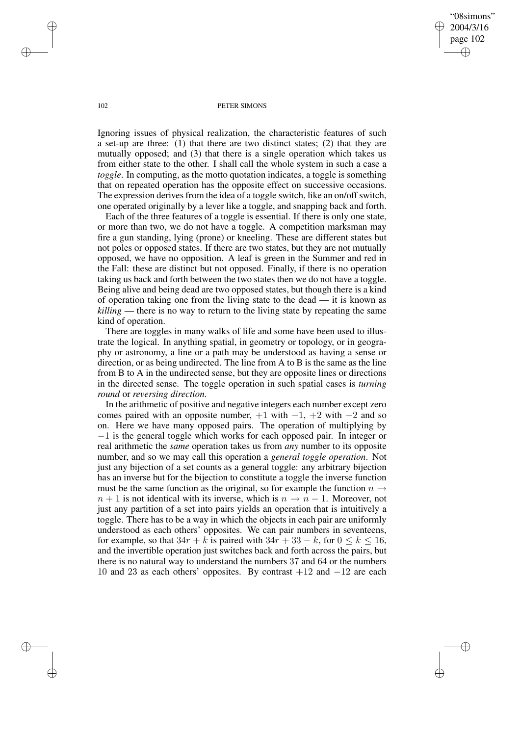"08simons" 2004/3/16 page 102 ✐ ✐

✐

✐

#### 102 PETER SIMONS

Ignoring issues of physical realization, the characteristic features of such a set-up are three: (1) that there are two distinct states; (2) that they are mutually opposed; and (3) that there is a single operation which takes us from either state to the other. I shall call the whole system in such a case a *toggle*. In computing, as the motto quotation indicates, a toggle is something that on repeated operation has the opposite effect on successive occasions. The expression derives from the idea of a toggle switch, like an on/off switch, one operated originally by a lever like a toggle, and snapping back and forth.

Each of the three features of a toggle is essential. If there is only one state, or more than two, we do not have a toggle. A competition marksman may fire a gun standing, lying (prone) or kneeling. These are different states but not poles or opposed states. If there are two states, but they are not mutually opposed, we have no opposition. A leaf is green in the Summer and red in the Fall: these are distinct but not opposed. Finally, if there is no operation taking us back and forth between the two states then we do not have a toggle. Being alive and being dead are two opposed states, but though there is a kind of operation taking one from the living state to the dead — it is known as *killing* — there is no way to return to the living state by repeating the same kind of operation.

There are toggles in many walks of life and some have been used to illustrate the logical. In anything spatial, in geometry or topology, or in geography or astronomy, a line or a path may be understood as having a sense or direction, or as being undirected. The line from A to B is the same as the line from B to A in the undirected sense, but they are opposite lines or directions in the directed sense. The toggle operation in such spatial cases is *turning round* or *reversing direction*.

In the arithmetic of positive and negative integers each number except zero comes paired with an opposite number,  $+1$  with  $-1$ ,  $+2$  with  $-2$  and so on. Here we have many opposed pairs. The operation of multiplying by −1 is the general toggle which works for each opposed pair. In integer or real arithmetic the *same* operation takes us from *any* number to its opposite number, and so we may call this operation a *general toggle operation*. Not just any bijection of a set counts as a general toggle: any arbitrary bijection has an inverse but for the bijection to constitute a toggle the inverse function must be the same function as the original, so for example the function  $n \rightarrow$  $n + 1$  is not identical with its inverse, which is  $n \to n - 1$ . Moreover, not just any partition of a set into pairs yields an operation that is intuitively a toggle. There has to be a way in which the objects in each pair are uniformly understood as each others' opposites. We can pair numbers in seventeens, for example, so that  $34r + k$  is paired with  $34r + 33 - k$ , for  $0 \le k \le 16$ , and the invertible operation just switches back and forth across the pairs, but there is no natural way to understand the numbers 37 and 64 or the numbers 10 and 23 as each others' opposites. By contrast  $+12$  and  $-12$  are each

✐

✐

✐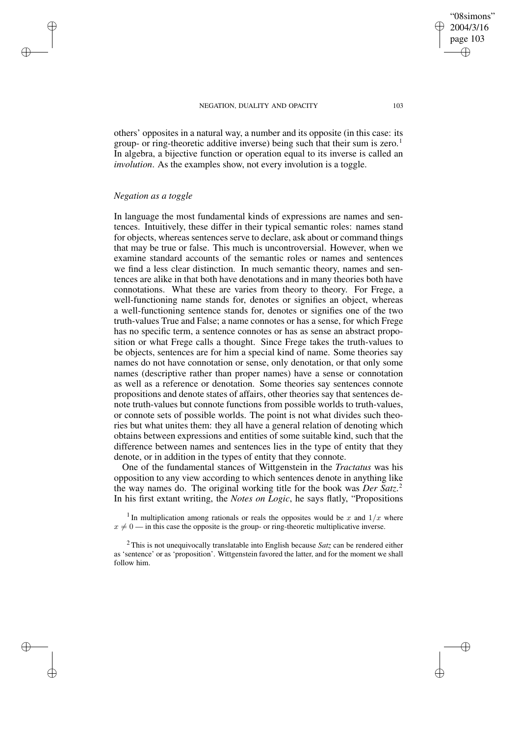others' opposites in a natural way, a number and its opposite (in this case: its group- or ring-theoretic additive inverse) being such that their sum is zero.<sup>1</sup> In algebra, a bijective function or operation equal to its inverse is called an *involution*. As the examples show, not every involution is a toggle.

## *Negation as a toggle*

✐

✐

✐

✐

In language the most fundamental kinds of expressions are names and sentences. Intuitively, these differ in their typical semantic roles: names stand for objects, whereas sentences serve to declare, ask about or command things that may be true or false. This much is uncontroversial. However, when we examine standard accounts of the semantic roles or names and sentences we find a less clear distinction. In much semantic theory, names and sentences are alike in that both have denotations and in many theories both have connotations. What these are varies from theory to theory. For Frege, a well-functioning name stands for, denotes or signifies an object, whereas a well-functioning sentence stands for, denotes or signifies one of the two truth-values True and False; a name connotes or has a sense, for which Frege has no specific term, a sentence connotes or has as sense an abstract proposition or what Frege calls a thought. Since Frege takes the truth-values to be objects, sentences are for him a special kind of name. Some theories say names do not have connotation or sense, only denotation, or that only some names (descriptive rather than proper names) have a sense or connotation as well as a reference or denotation. Some theories say sentences connote propositions and denote states of affairs, other theories say that sentences denote truth-values but connote functions from possible worlds to truth-values, or connote sets of possible worlds. The point is not what divides such theories but what unites them: they all have a general relation of denoting which obtains between expressions and entities of some suitable kind, such that the difference between names and sentences lies in the type of entity that they denote, or in addition in the types of entity that they connote.

One of the fundamental stances of Wittgenstein in the *Tractatus* was his opposition to any view according to which sentences denote in anything like the way names do. The original working title for the book was *Der Satz*. 2 In his first extant writing, the *Notes on Logic*, he says flatly, "Propositions

<sup>1</sup> In multiplication among rationals or reals the opposites would be x and  $1/x$  where  $x \neq 0$  — in this case the opposite is the group- or ring-theoretic multiplicative inverse.

<sup>2</sup> This is not unequivocally translatable into English because *Satz* can be rendered either as 'sentence' or as 'proposition'. Wittgenstein favored the latter, and for the moment we shall follow him.

"08simons" 2004/3/16 page 103

✐

✐

✐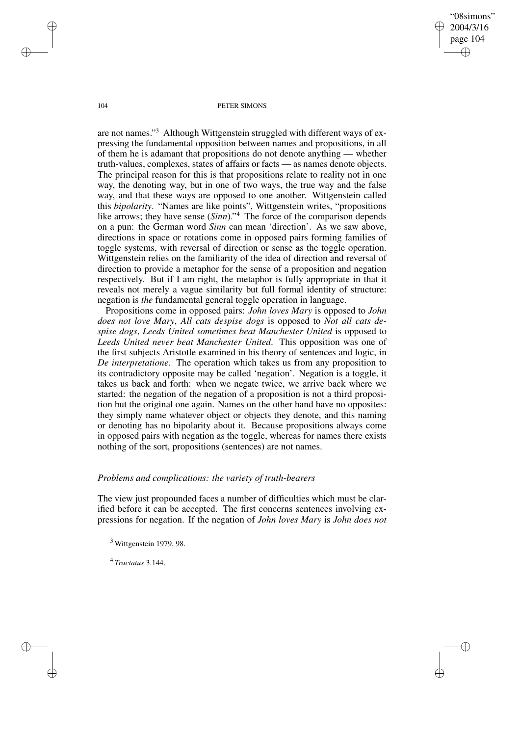"08simons" 2004/3/16 page 104 ✐ ✐

✐

✐

#### 104 PETER SIMONS

are not names." <sup>3</sup> Although Wittgenstein struggled with different ways of expressing the fundamental opposition between names and propositions, in all of them he is adamant that propositions do not denote anything — whether truth-values, complexes, states of affairs or facts — as names denote objects. The principal reason for this is that propositions relate to reality not in one way, the denoting way, but in one of two ways, the true way and the false way, and that these ways are opposed to one another. Wittgenstein called this *bipolarity*. "Names are like points", Wittgenstein writes, "propositions like arrows; they have sense (*Sinn*)." <sup>4</sup> The force of the comparison depends on a pun: the German word *Sinn* can mean 'direction'. As we saw above, directions in space or rotations come in opposed pairs forming families of toggle systems, with reversal of direction or sense as the toggle operation. Wittgenstein relies on the familiarity of the idea of direction and reversal of direction to provide a metaphor for the sense of a proposition and negation respectively. But if I am right, the metaphor is fully appropriate in that it reveals not merely a vague similarity but full formal identity of structure: negation is *the* fundamental general toggle operation in language.

Propositions come in opposed pairs: *John loves Mary* is opposed to *John does not love Mary*, *All cats despise dogs* is opposed to *Not all cats despise dogs*, *Leeds United sometimes beat Manchester United* is opposed to *Leeds United never beat Manchester United*. This opposition was one of the first subjects Aristotle examined in his theory of sentences and logic, in *De interpretatione*. The operation which takes us from any proposition to its contradictory opposite may be called 'negation'. Negation is a toggle, it takes us back and forth: when we negate twice, we arrive back where we started: the negation of the negation of a proposition is not a third proposition but the original one again. Names on the other hand have no opposites: they simply name whatever object or objects they denote, and this naming or denoting has no bipolarity about it. Because propositions always come in opposed pairs with negation as the toggle, whereas for names there exists nothing of the sort, propositions (sentences) are not names.

### *Problems and complications: the variety of truth-bearers*

The view just propounded faces a number of difficulties which must be clarified before it can be accepted. The first concerns sentences involving expressions for negation. If the negation of *John loves Mary* is *John does not*

 $3$  Wittgenstein 1979, 98.

4 *Tractatus* 3.144.

✐

✐

✐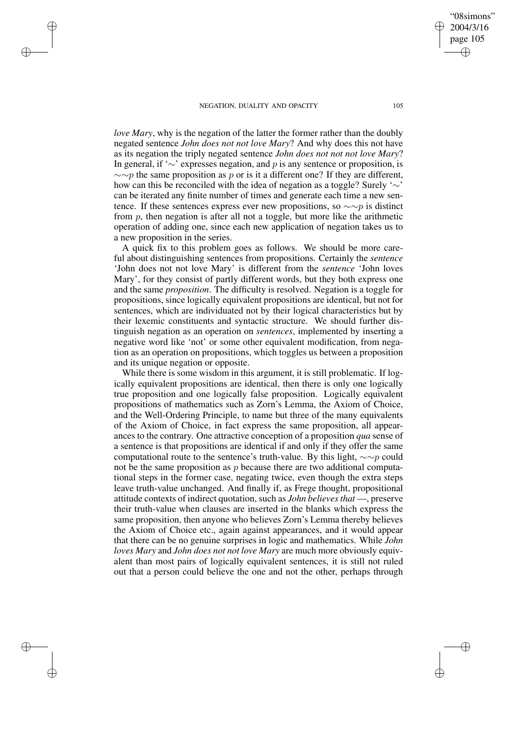✐

✐

✐

✐

*love Mary*, why is the negation of the latter the former rather than the doubly negated sentence *John does not not love Mary*? And why does this not have as its negation the triply negated sentence *John does not not not love Mary*? In general, if '∼' expresses negation, and p is any sentence or proposition, is  $\sim$ ∼p the same proposition as p or is it a different one? If they are different, how can this be reconciled with the idea of negation as a toggle? Surely '∼' can be iterated any finite number of times and generate each time a new sentence. If these sentences express ever new propositions, so  $\sim \sim p$  is distinct from  $p$ , then negation is after all not a toggle, but more like the arithmetic operation of adding one, since each new application of negation takes us to a new proposition in the series.

A quick fix to this problem goes as follows. We should be more careful about distinguishing sentences from propositions. Certainly the *sentence* 'John does not not love Mary' is different from the *sentence* 'John loves Mary', for they consist of partly different words, but they both express one and the same *proposition*. The difficulty is resolved. Negation is a toggle for propositions, since logically equivalent propositions are identical, but not for sentences, which are individuated not by their logical characteristics but by their lexemic constituents and syntactic structure. We should further distinguish negation as an operation on *sentences*, implemented by inserting a negative word like 'not' or some other equivalent modification, from negation as an operation on propositions, which toggles us between a proposition and its unique negation or opposite.

While there is some wisdom in this argument, it is still problematic. If logically equivalent propositions are identical, then there is only one logically true proposition and one logically false proposition. Logically equivalent propositions of mathematics such as Zorn's Lemma, the Axiom of Choice, and the Well-Ordering Principle, to name but three of the many equivalents of the Axiom of Choice, in fact express the same proposition, all appearances to the contrary. One attractive conception of a proposition *qua* sense of a sentence is that propositions are identical if and only if they offer the same computational route to the sentence's truth-value. By this light,  $\sim \sim p$  could not be the same proposition as  $p$  because there are two additional computational steps in the former case, negating twice, even though the extra steps leave truth-value unchanged. And finally if, as Frege thought, propositional attitude contexts of indirect quotation, such as *John believesthat* —, preserve their truth-value when clauses are inserted in the blanks which express the same proposition, then anyone who believes Zorn's Lemma thereby believes the Axiom of Choice etc., again against appearances, and it would appear that there can be no genuine surprises in logic and mathematics. While *John loves Mary* and *John does not not love Mary* are much more obviously equivalent than most pairs of logically equivalent sentences, it is still not ruled out that a person could believe the one and not the other, perhaps through

✐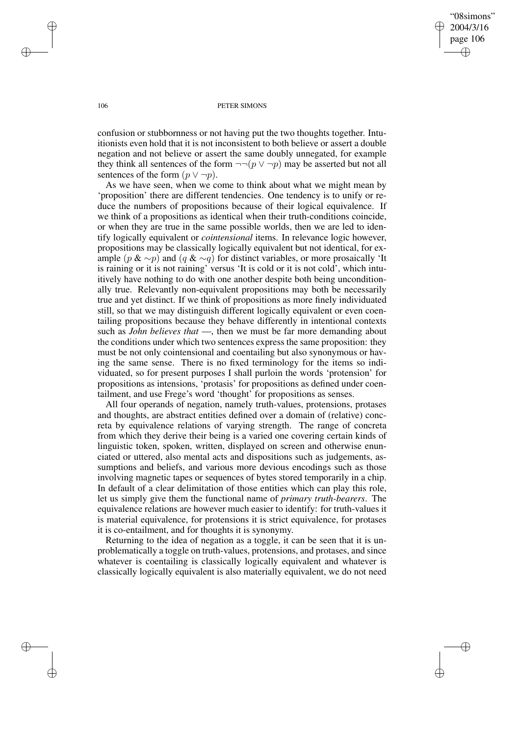✐

#### 106 PETER SIMONS

confusion or stubbornness or not having put the two thoughts together. Intuitionists even hold that it is not inconsistent to both believe or assert a double negation and not believe or assert the same doubly unnegated, for example they think all sentences of the form  $\neg$  $\neg$ ( $p \lor \neg p$ ) may be asserted but not all sentences of the form  $(p \vee \neg p)$ .

As we have seen, when we come to think about what we might mean by 'proposition' there are different tendencies. One tendency is to unify or reduce the numbers of propositions because of their logical equivalence. If we think of a propositions as identical when their truth-conditions coincide, or when they are true in the same possible worlds, then we are led to identify logically equivalent or *cointensional* items. In relevance logic however, propositions may be classically logically equivalent but not identical, for example (p & ∼p) and (q & ∼q) for distinct variables, or more prosaically 'It is raining or it is not raining' versus 'It is cold or it is not cold', which intuitively have nothing to do with one another despite both being unconditionally true. Relevantly non-equivalent propositions may both be necessarily true and yet distinct. If we think of propositions as more finely individuated still, so that we may distinguish different logically equivalent or even coentailing propositions because they behave differently in intentional contexts such as *John believes that* —, then we must be far more demanding about the conditions under which two sentences express the same proposition: they must be not only cointensional and coentailing but also synonymous or having the same sense. There is no fixed terminology for the items so individuated, so for present purposes I shall purloin the words 'protension' for propositions as intensions, 'protasis' for propositions as defined under coentailment, and use Frege's word 'thought' for propositions as senses.

All four operands of negation, namely truth-values, protensions, protases and thoughts, are abstract entities defined over a domain of (relative) concreta by equivalence relations of varying strength. The range of concreta from which they derive their being is a varied one covering certain kinds of linguistic token, spoken, written, displayed on screen and otherwise enunciated or uttered, also mental acts and dispositions such as judgements, assumptions and beliefs, and various more devious encodings such as those involving magnetic tapes or sequences of bytes stored temporarily in a chip. In default of a clear delimitation of those entities which can play this role, let us simply give them the functional name of *primary truth-bearers*. The equivalence relations are however much easier to identify: for truth-values it is material equivalence, for protensions it is strict equivalence, for protases it is co-entailment, and for thoughts it is synonymy.

Returning to the idea of negation as a toggle, it can be seen that it is unproblematically a toggle on truth-values, protensions, and protases, and since whatever is coentailing is classically logically equivalent and whatever is classically logically equivalent is also materially equivalent, we do not need

✐

✐

✐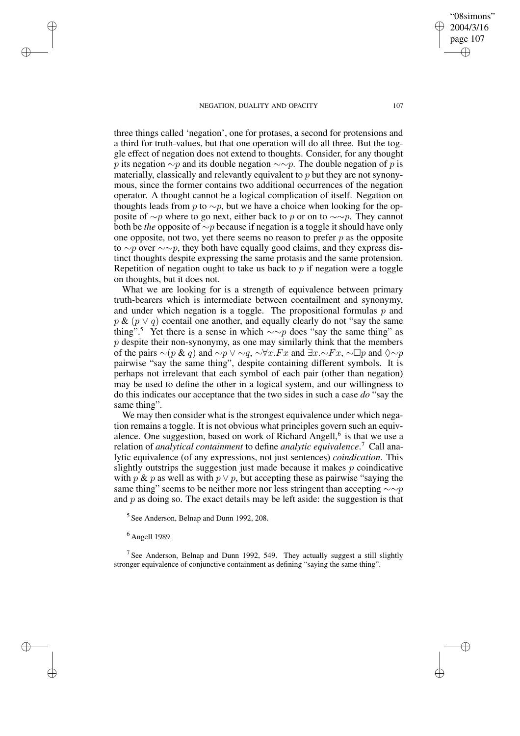✐

✐

"08simons"

three things called 'negation', one for protases, a second for protensions and a third for truth-values, but that one operation will do all three. But the toggle effect of negation does not extend to thoughts. Consider, for any thought p its negation  $\sim p$  and its double negation  $\sim \sim p$ . The double negation of p is materially, classically and relevantly equivalent to p but they are not synonymous, since the former contains two additional occurrences of the negation operator. A thought cannot be a logical complication of itself. Negation on thoughts leads from p to  $\sim p$ , but we have a choice when looking for the opposite of  $\sim p$  where to go next, either back to p or on to  $\sim \sim p$ . They cannot both be *the* opposite of ∼p because if negation is a toggle it should have only one opposite, not two, yet there seems no reason to prefer  $p$  as the opposite to ∼p over  $\sim \sim p$ , they both have equally good claims, and they express distinct thoughts despite expressing the same protasis and the same protension. Repetition of negation ought to take us back to  $p$  if negation were a toggle on thoughts, but it does not.

What we are looking for is a strength of equivalence between primary truth-bearers which is intermediate between coentailment and synonymy, and under which negation is a toggle. The propositional formulas  $p$  and  $p \& (p \vee q)$  coentail one another, and equally clearly do not "say the same" thing".<sup>5</sup> Yet there is a sense in which  $\sim \sim p$  does "say the same thing" as  $p$  despite their non-synonymy, as one may similarly think that the members of the pairs  $\sim (p \& q)$  and  $\sim p \vee \sim q$ ,  $\sim \forall x.Fx$  and  $\exists x.\sim Fx$ ,  $\sim \Box p$  and  $\Diamond \sim p$ pairwise "say the same thing", despite containing different symbols. It is perhaps not irrelevant that each symbol of each pair (other than negation) may be used to define the other in a logical system, and our willingness to do this indicates our acceptance that the two sides in such a case *do* "say the same thing".

We may then consider what is the strongest equivalence under which negation remains a toggle. It is not obvious what principles govern such an equivalence. One suggestion, based on work of Richard Angell,<sup>6</sup> is that we use a relation of *analytical containment* to define *analytic equivalence*. <sup>7</sup> Call analytic equivalence (of any expressions, not just sentences) *coindication*. This slightly outstrips the suggestion just made because it makes  $p$  coindicative with p & p as well as with  $p \vee p$ , but accepting these as pairwise "saying the same thing" seems to be neither more nor less stringent than accepting  $\sim \sim p$ and  $p$  as doing so. The exact details may be left aside: the suggestion is that

5 See Anderson, Belnap and Dunn 1992, 208.

 $<sup>6</sup>$  Angell 1989.</sup>

✐

✐

✐

✐

<sup>7</sup> See Anderson, Belnap and Dunn 1992, 549. They actually suggest a still slightly stronger equivalence of conjunctive containment as defining "saying the same thing".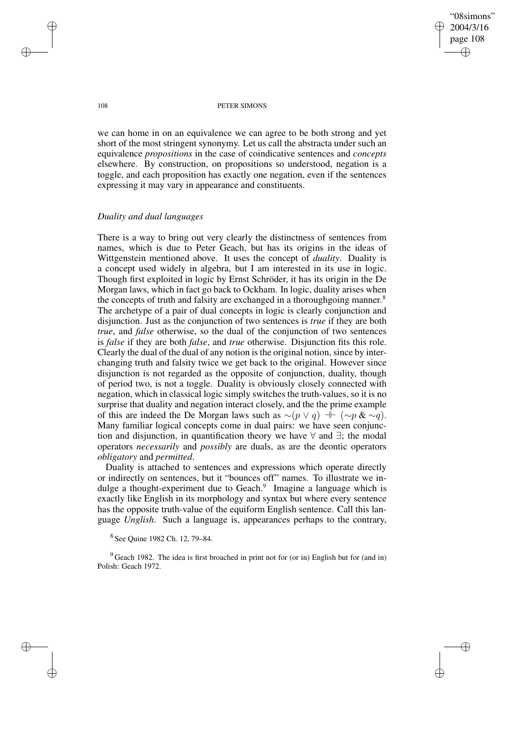"08simons" 2004/3/16 page 108 ✐ ✐

✐

✐

#### 108 PETER SIMONS

we can home in on an equivalence we can agree to be both strong and yet short of the most stringent synonymy. Let us call the abstracta under such an equivalence *propositions* in the case of coindicative sentences and *concepts* elsewhere. By construction, on propositions so understood, negation is a toggle, and each proposition has exactly one negation, even if the sentences expressing it may vary in appearance and constituents.

## *Duality and dual languages*

There is a way to bring out very clearly the distinctness of sentences from names, which is due to Peter Geach, but has its origins in the ideas of Wittgenstein mentioned above. It uses the concept of *duality*. Duality is a concept used widely in algebra, but I am interested in its use in logic. Though first exploited in logic by Ernst Schröder, it has its origin in the De Morgan laws, which in fact go back to Ockham. In logic, duality arises when the concepts of truth and falsity are exchanged in a thoroughgoing manner.<sup>8</sup> The archetype of a pair of dual concepts in logic is clearly conjunction and disjunction. Just as the conjunction of two sentences is *true* if they are both *true*, and *false* otherwise, so the dual of the conjunction of two sentences is *false* if they are both *false*, and *true* otherwise. Disjunction fits this role. Clearly the dual of the dual of any notion isthe original notion, since by interchanging truth and falsity twice we get back to the original. However since disjunction is not regarded as the opposite of conjunction, duality, though of period two, is not a toggle. Duality is obviously closely connected with negation, which in classical logic simply switches the truth-values, so it is no surprise that duality and negation interact closely, and the the prime example of this are indeed the De Morgan laws such as  $∼( p \lor q) \dashv \vdash (∼p \& \sim q).$ Many familiar logical concepts come in dual pairs: we have seen conjunction and disjunction, in quantification theory we have  $\forall$  and  $\exists$ ; the modal operators *necessarily* and *possibly* are duals, as are the deontic operators *obligatory* and *permitted*.

Duality is attached to sentences and expressions which operate directly or indirectly on sentences, but it "bounces off" names. To illustrate we indulge a thought-experiment due to Geach.<sup>9</sup> Imagine a language which is exactly like English in its morphology and syntax but where every sentence has the opposite truth-value of the equiform English sentence. Call this language *Unglish*. Such a language is, appearances perhaps to the contrary,

8 See Quine 1982 Ch. 12, 79–84.

 $9$  Geach 1982. The idea is first broached in print not for (or in) English but for (and in) Polish: Geach 1972.

✐

✐

✐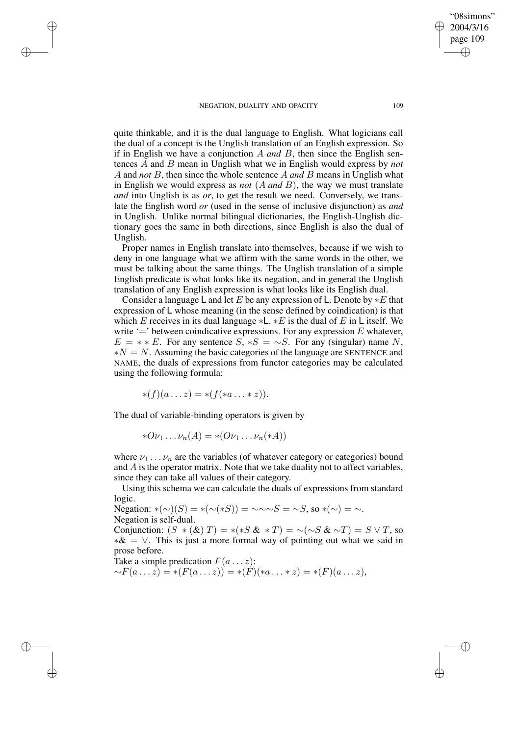✐

✐

✐

✐

quite thinkable, and it is the dual language to English. What logicians call the dual of a concept is the Unglish translation of an English expression. So if in English we have a conjunction A *and* B, then since the English sentences A and B mean in Unglish what we in English would express by *not* A and *not* B, then since the whole sentence A *and* B means in Unglish what in English we would express as *not* (A *and* B), the way we must translate *and* into Unglish is as *or*, to get the result we need. Conversely, we translate the English word *or* (used in the sense of inclusive disjunction) as *and* in Unglish. Unlike normal bilingual dictionaries, the English-Unglish dictionary goes the same in both directions, since English is also the dual of Unglish.

Proper names in English translate into themselves, because if we wish to deny in one language what we affirm with the same words in the other, we must be talking about the same things. The Unglish translation of a simple English predicate is what looks like its negation, and in general the Unglish translation of any English expression is what looks like its English dual.

Consider a language L and let E be any expression of L. Denote by  $*E$  that expression of L whose meaning (in the sense defined by coindication) is that which E receives in its dual language  $*L$ .  $*E$  is the dual of E in L itself. We write  $\equiv$  between coindicative expressions. For any expression E whatever,  $E = * E$ . For any sentence  $S, *S = \sim S$ . For any (singular) name N,  $*N = N$ . Assuming the basic categories of the language are SENTENCE and NAME, the duals of expressions from functor categories may be calculated using the following formula:

$$
\ast(f)(a\ldots z)=\ast(f(\ast a\ldots \ast z)).
$$

The dual of variable-binding operators is given by

$$
*O\nu_1 \dots \nu_n(A) = * (O\nu_1 \dots \nu_n(*A))
$$

where  $\nu_1 \ldots \nu_n$  are the variables (of whatever category or categories) bound and  $A$  is the operator matrix. Note that we take duality not to affect variables, since they can take all values of their category.

Using this schema we can calculate the duals of expressions from standard logic.

Negation: \*(∼)(S) = \*(∼(\*S)) = ~~∼S = ~S, so \*(∼) = ~. Negation is self-dual.

Conjunction:  $(S * (\&) T) = *(*S \& *T) = \sim (\sim S \& \sim T) = S \vee T$ , so  $*& = \vee$ . This is just a more formal way of pointing out what we said in prose before.

Take a simple predication  $F(a \dots z)$ :  $\sim F(a \dots \hat{z}) = * (F(a \dots z)) = *(\hat{F})(*a \dots * z) = * (F)(a \dots z),$ 

"08simons" 2004/3/16 page 109

✐

✐

✐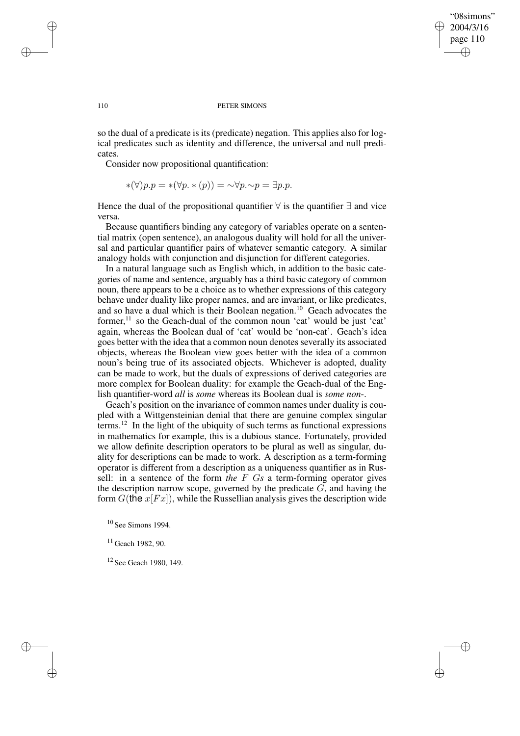"08simons" 2004/3/16 page 110 ✐ ✐

✐

✐

#### 110 PETER SIMONS

so the dual of a predicate is its (predicate) negation. This applies also for logical predicates such as identity and difference, the universal and null predicates.

Consider now propositional quantification:

$$
*(\forall)p.p = *(\forall p. * (p)) = \neg \forall p. \neg p = \exists p.p.
$$

Hence the dual of the propositional quantifier  $\forall$  is the quantifier  $\exists$  and vice versa.

Because quantifiers binding any category of variables operate on a sentential matrix (open sentence), an analogous duality will hold for all the universal and particular quantifier pairs of whatever semantic category. A similar analogy holds with conjunction and disjunction for different categories.

In a natural language such as English which, in addition to the basic categories of name and sentence, arguably has a third basic category of common noun, there appears to be a choice as to whether expressions of this category behave under duality like proper names, and are invariant, or like predicates, and so have a dual which is their Boolean negation.<sup>10</sup> Geach advocates the former,<sup>11</sup> so the Geach-dual of the common noun 'cat' would be just 'cat' again, whereas the Boolean dual of 'cat' would be 'non-cat'. Geach's idea goes better with the idea that a common noun denotes severally its associated objects, whereas the Boolean view goes better with the idea of a common noun's being true of its associated objects. Whichever is adopted, duality can be made to work, but the duals of expressions of derived categories are more complex for Boolean duality: for example the Geach-dual of the English quantifier-word *all* is *some* whereas its Boolean dual is *some non*-.

Geach's position on the invariance of common names under duality is coupled with a Wittgensteinian denial that there are genuine complex singular terms.<sup>12</sup> In the light of the ubiquity of such terms as functional expressions in mathematics for example, this is a dubious stance. Fortunately, provided we allow definite description operators to be plural as well as singular, duality for descriptions can be made to work. A description as a term-forming operator is different from a description as a uniqueness quantifier as in Russell: in a sentence of the form *the* F G*s* a term-forming operator gives the description narrow scope, governed by the predicate  $G$ , and having the form  $G$ (the  $x$ [ $Fx$ ]), while the Russellian analysis gives the description wide

<sup>10</sup> See Simons 1994.

<sup>11</sup> Geach 1982, 90.

<sup>12</sup> See Geach 1980, 149.

✐

✐

✐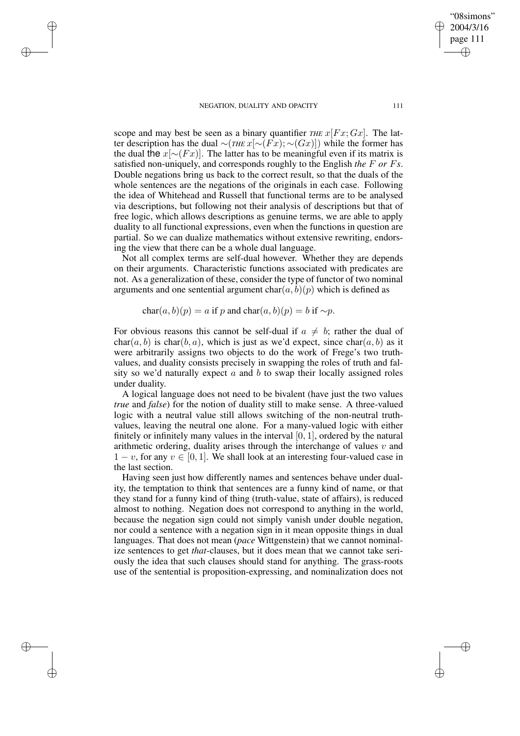✐

✐

✐

✐

scope and may best be seen as a binary quantifier *THE*  $x[Fx; Gx]$ . The latter description has the dual ∼(*THE* x[∼(Fx); ∼(Gx)]) while the former has the dual the  $x[\sim(Fx)]$ . The latter has to be meaningful even if its matrix is satisfied non-uniquely, and corresponds roughly to the English *the* F *or* F*s*. Double negations bring us back to the correct result, so that the duals of the whole sentences are the negations of the originals in each case. Following the idea of Whitehead and Russell that functional terms are to be analysed via descriptions, but following not their analysis of descriptions but that of free logic, which allows descriptions as genuine terms, we are able to apply duality to all functional expressions, even when the functions in question are partial. So we can dualize mathematics without extensive rewriting, endorsing the view that there can be a whole dual language.

Not all complex terms are self-dual however. Whether they are depends on their arguments. Characteristic functions associated with predicates are not. As a generalization of these, consider the type of functor of two nominal arguments and one sentential argument  $char(a, b)(p)$  which is defined as

char $(a, b)(p) = a$  if p and char $(a, b)(p) = b$  if ∼p.

For obvious reasons this cannot be self-dual if  $a \neq b$ ; rather the dual of  $char(a, b)$  is char(b, a), which is just as we'd expect, since char(a, b) as it were arbitrarily assigns two objects to do the work of Frege's two truthvalues, and duality consists precisely in swapping the roles of truth and falsity so we'd naturally expect  $a$  and  $b$  to swap their locally assigned roles under duality.

A logical language does not need to be bivalent (have just the two values *true* and *false*) for the notion of duality still to make sense. A three-valued logic with a neutral value still allows switching of the non-neutral truthvalues, leaving the neutral one alone. For a many-valued logic with either finitely or infinitely many values in the interval [0, 1], ordered by the natural arithmetic ordering, duality arises through the interchange of values  $v$  and  $1 - v$ , for any  $v \in [0, 1]$ . We shall look at an interesting four-valued case in the last section.

Having seen just how differently names and sentences behave under duality, the temptation to think that sentences are a funny kind of name, or that they stand for a funny kind of thing (truth-value, state of affairs), is reduced almost to nothing. Negation does not correspond to anything in the world, because the negation sign could not simply vanish under double negation, nor could a sentence with a negation sign in it mean opposite things in dual languages. That does not mean (*pace* Wittgenstein) that we cannot nominalize sentences to get *that*-clauses, but it does mean that we cannot take seriously the idea that such clauses should stand for anything. The grass-roots use of the sentential is proposition-expressing, and nominalization does not

"08simons" 2004/3/16 page 111

✐

✐

✐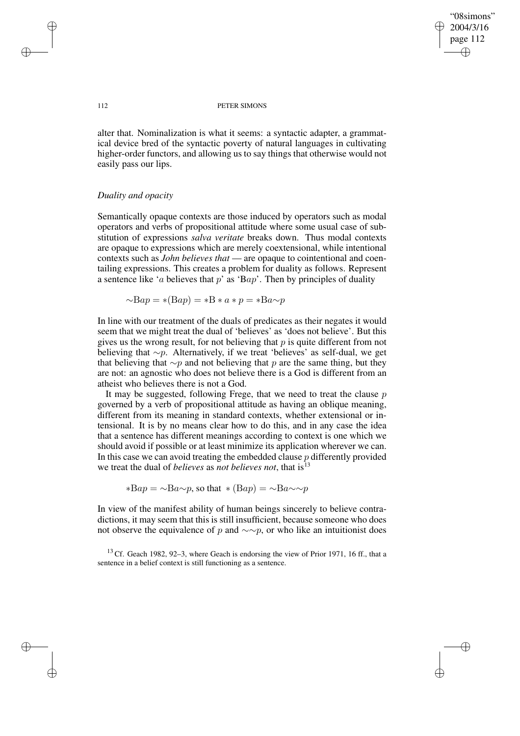✐

#### 112 PETER SIMONS

alter that. Nominalization is what it seems: a syntactic adapter, a grammatical device bred of the syntactic poverty of natural languages in cultivating higher-order functors, and allowing us to say things that otherwise would not easily pass our lips.

## *Duality and opacity*

Semantically opaque contexts are those induced by operators such as modal operators and verbs of propositional attitude where some usual case of substitution of expressions *salva veritate* breaks down. Thus modal contexts are opaque to expressions which are merely coextensional, while intentional contexts such as *John believes that* — are opaque to cointentional and coentailing expressions. This creates a problem for duality as follows. Represent a sentence like 'a believes that  $p$ ' as 'Bap'. Then by principles of duality

$$
\sim \!\! \text{B}ap = *(\text{B}ap) = *B * a * p = * \text{B}a \sim p
$$

In line with our treatment of the duals of predicates as their negates it would seem that we might treat the dual of 'believes' as 'does not believe'. But this gives us the wrong result, for not believing that  $p$  is quite different from not believing that ∼p. Alternatively, if we treat 'believes' as self-dual, we get that believing that  $\sim p$  and not believing that p are the same thing, but they are not: an agnostic who does not believe there is a God is different from an atheist who believes there is not a God.

It may be suggested, following Frege, that we need to treat the clause  $p$ governed by a verb of propositional attitude as having an oblique meaning, different from its meaning in standard contexts, whether extensional or intensional. It is by no means clear how to do this, and in any case the idea that a sentence has different meanings according to context is one which we should avoid if possible or at least minimize its application wherever we can. In this case we can avoid treating the embedded clause  $p$  differently provided we treat the dual of *believes* as *not believes not*, that is<sup>13</sup>

 $*Bap = \neg Ba \neg p$ , so that  $*(Bap) = \neg Ba \neg \neg p$ 

In view of the manifest ability of human beings sincerely to believe contradictions, it may seem that this is still insufficient, because someone who does not observe the equivalence of p and  $\sim \sim p$ , or who like an intuitionist does

 $13$  Cf. Geach 1982, 92–3, where Geach is endorsing the view of Prior 1971, 16 ff., that a sentence in a belief context is still functioning as a sentence.

✐

✐

✐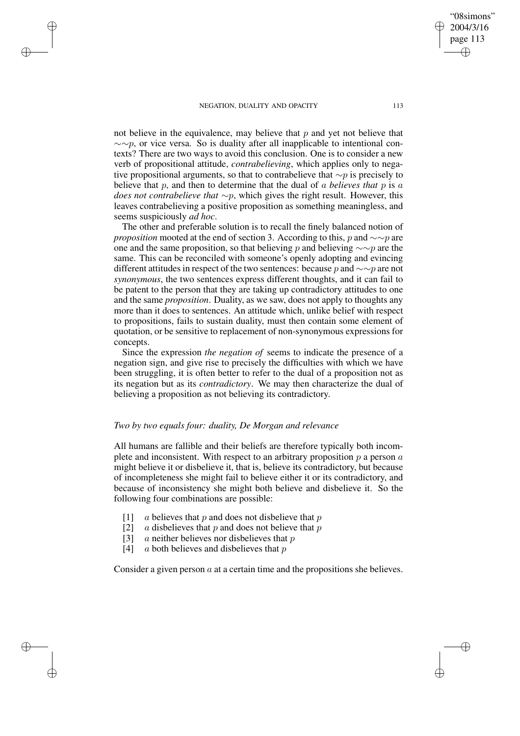✐

✐

✐

✐

page 113 ✐

✐

"08simons" 2004/3/16

✐

✐

not believe in the equivalence, may believe that  $p$  and yet not believe that  $\sim$ ∼p, or vice versa. So is duality after all inapplicable to intentional contexts? There are two ways to avoid this conclusion. One is to consider a new verb of propositional attitude, *contrabelieving*, which applies only to negative propositional arguments, so that to contrabelieve that  $\sim p$  is precisely to believe that p, and then to determine that the dual of a *believes that* p is a *does not contrabelieve that* ∼p, which gives the right result. However, this leaves contrabelieving a positive proposition as something meaningless, and seems suspiciously *ad hoc*.

The other and preferable solution is to recall the finely balanced notion of *proposition* mooted at the end of section 3. According to this, p and ∼∼p are one and the same proposition, so that believing p and believing  $\sim \sim p$  are the same. This can be reconciled with someone's openly adopting and evincing different attitudes in respect of the two sentences: because p and  $\sim \sim p$  are not *synonymous*, the two sentences express different thoughts, and it can fail to be patent to the person that they are taking up contradictory attitudes to one and the same *proposition*. Duality, as we saw, does not apply to thoughts any more than it does to sentences. An attitude which, unlike belief with respect to propositions, fails to sustain duality, must then contain some element of quotation, or be sensitive to replacement of non-synonymous expressions for concepts.

Since the expression *the negation of* seems to indicate the presence of a negation sign, and give rise to precisely the difficulties with which we have been struggling, it is often better to refer to the dual of a proposition not as its negation but as its *contradictory*. We may then characterize the dual of believing a proposition as not believing its contradictory.

### *Two by two equals four: duality, De Morgan and relevance*

All humans are fallible and their beliefs are therefore typically both incomplete and inconsistent. With respect to an arbitrary proposition  $p$  a person  $a$ might believe it or disbelieve it, that is, believe its contradictory, but because of incompleteness she might fail to believe either it or its contradictory, and because of inconsistency she might both believe and disbelieve it. So the following four combinations are possible:

- [1] a believes that p and does not disbelieve that p
- [2]  $\alpha$  disbelieves that p and does not believe that p
- [3]  $\alpha$  neither believes nor disbelieves that p
- [4]  $\alpha$  both believes and disbelieves that p

Consider a given person  $\alpha$  at a certain time and the propositions she believes.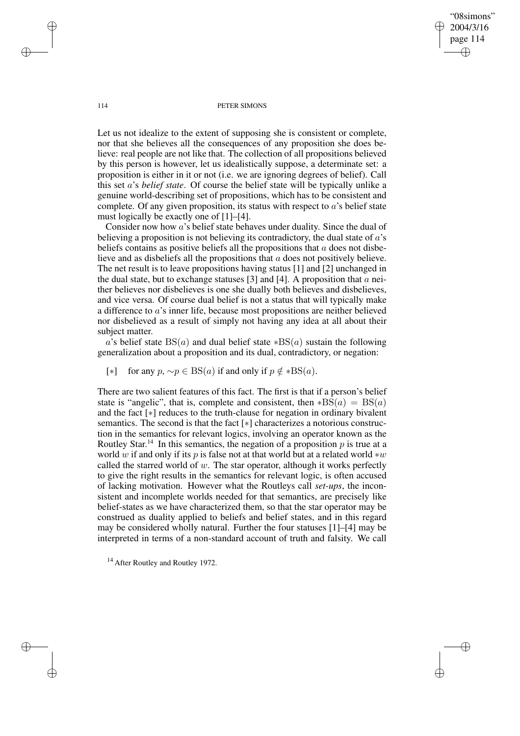"08simons" 2004/3/16 page 114 ✐ ✐

✐

✐

#### 114 PETER SIMONS

Let us not idealize to the extent of supposing she is consistent or complete, nor that she believes all the consequences of any proposition she does believe: real people are not like that. The collection of all propositions believed by this person is however, let us idealistically suppose, a determinate set: a proposition is either in it or not (i.e. we are ignoring degrees of belief). Call this set a's *belief state*. Of course the belief state will be typically unlike a genuine world-describing set of propositions, which has to be consistent and complete. Of any given proposition, its status with respect to  $a$ 's belief state must logically be exactly one of [1]–[4].

Consider now how a's belief state behaves under duality. Since the dual of believing a proposition is not believing its contradictory, the dual state of  $\alpha$ 's beliefs contains as positive beliefs all the propositions that  $a$  does not disbelieve and as disbeliefs all the propositions that a does not positively believe. The net result is to leave propositions having status [1] and [2] unchanged in the dual state, but to exchange statuses [3] and [4]. A proposition that  $\alpha$  neither believes nor disbelieves is one she dually both believes and disbelieves, and vice versa. Of course dual belief is not a status that will typically make a difference to a's inner life, because most propositions are neither believed nor disbelieved as a result of simply not having any idea at all about their subject matter.

a's belief state  $BS(a)$  and dual belief state  $*BS(a)$  sustain the following generalization about a proposition and its dual, contradictory, or negation:

[∗] for any  $p, \sim p \in BS(a)$  if and only if  $p \notin *BS(a)$ .

There are two salient features of this fact. The first is that if a person's belief state is "angelic", that is, complete and consistent, then  $*B\bar{S}(a) = BS(a)$ and the fact [∗] reduces to the truth-clause for negation in ordinary bivalent semantics. The second is that the fact [∗] characterizes a notorious construction in the semantics for relevant logics, involving an operator known as the Routley Star.<sup>14</sup> In this semantics, the negation of a proposition  $p$  is true at a world w if and only if its p is false not at that world but at a related world  $*w$ called the starred world of  $w$ . The star operator, although it works perfectly to give the right results in the semantics for relevant logic, is often accused of lacking motivation. However what the Routleys call *set-ups*, the inconsistent and incomplete worlds needed for that semantics, are precisely like belief-states as we have characterized them, so that the star operator may be construed as duality applied to beliefs and belief states, and in this regard may be considered wholly natural. Further the four statuses [1]–[4] may be interpreted in terms of a non-standard account of truth and falsity. We call

<sup>14</sup> After Routley and Routley 1972.

✐

✐

✐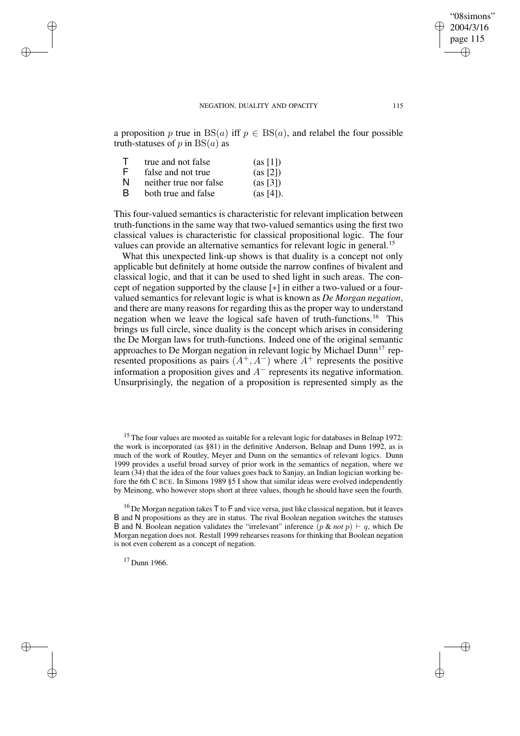✐

"08simons" 2004/3/16 page 115

✐

✐

a proposition p true in  $BS(a)$  iff  $p \in BS(a)$ , and relabel the four possible truth-statuses of p in  $BS(a)$  as

| $\top$ | true and not false     | (as [1])  |
|--------|------------------------|-----------|
| F      | false and not true     | (as [2])  |
| N      | neither true nor false | (as [3])  |
| R.     | both true and false    | (as [4]). |

✐

✐

✐

✐

This four-valued semantics is characteristic for relevant implication between truth-functions in the same way that two-valued semantics using the first two classical values is characteristic for classical propositional logic. The four values can provide an alternative semantics for relevant logic in general.<sup>15</sup>

What this unexpected link-up shows is that duality is a concept not only applicable but definitely at home outside the narrow confines of bivalent and classical logic, and that it can be used to shed light in such areas. The concept of negation supported by the clause [∗] in either a two-valued or a fourvalued semantics for relevant logic is what is known as *De Morgan negation*, and there are many reasons for regarding this as the proper way to understand negation when we leave the logical safe haven of truth-functions.<sup>16</sup> This brings us full circle, since duality is the concept which arises in considering the De Morgan laws for truth-functions. Indeed one of the original semantic approaches to De Morgan negation in relevant logic by Michael Dunn<sup>17</sup> represented propositions as pairs  $(A^+, A^-)$  where  $A^+$  represents the positive information a proposition gives and  $A^-$  represents its negative information. Unsurprisingly, the negation of a proposition is represented simply as the

<sup>17</sup> Dunn 1966.

<sup>&</sup>lt;sup>15</sup> The four values are mooted as suitable for a relevant logic for databases in Belnap 1972: the work is incorporated (as §81) in the definitive Anderson, Belnap and Dunn 1992, as is much of the work of Routley, Meyer and Dunn on the semantics of relevant logics. Dunn 1999 provides a useful broad survey of prior work in the semantics of negation, where we learn (34) that the idea of the four values goes back to Sanjay, an Indian logician working before the 6th C BCE. In Simons 1989 §5 I show that similar ideas were evolved independently by Meinong, who however stops short at three values, though he should have seen the fourth.

 $16$  De Morgan negation takes T to F and vice versa, just like classical negation, but it leaves B and N propositions as they are in status. The rival Boolean negation switches the statuses B and N. Boolean negation validates the "irrelevant" inference  $(p & not p) \vdash q$ , which De Morgan negation does not. Restall 1999 rehearses reasons for thinking that Boolean negation is not even coherent as a concept of negation.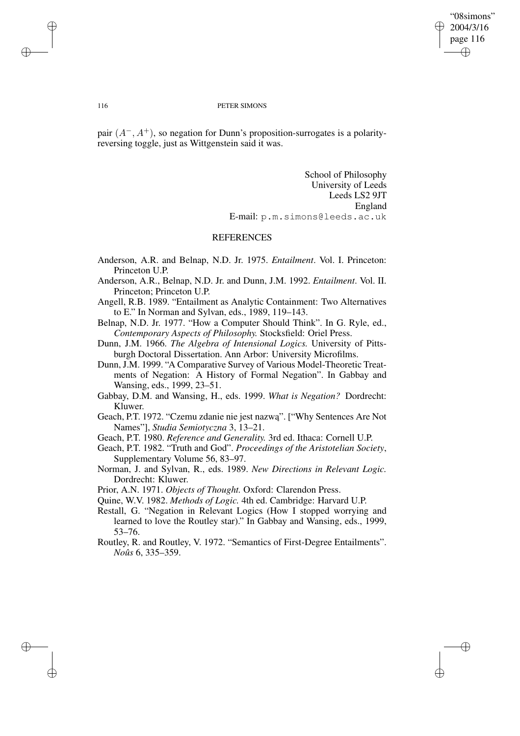✐

#### 116 PETER SIMONS

pair  $(A^-, A^+)$ , so negation for Dunn's proposition-surrogates is a polarityreversing toggle, just as Wittgenstein said it was.

> School of Philosophy University of Leeds Leeds LS2 9JT England E-mail: p.m.simons@leeds.ac.uk

### REFERENCES

- Anderson, A.R. and Belnap, N.D. Jr. 1975. *Entailment*. Vol. I. Princeton: Princeton U.P.
- Anderson, A.R., Belnap, N.D. Jr. and Dunn, J.M. 1992. *Entailment*. Vol. II. Princeton; Princeton U.P.
- Angell, R.B. 1989. "Entailment as Analytic Containment: Two Alternatives to E." In Norman and Sylvan, eds., 1989, 119–143.
- Belnap, N.D. Jr. 1977. "How a Computer Should Think". In G. Ryle, ed., *Contemporary Aspects of Philosophy.* Stocksfield: Oriel Press.
- Dunn, J.M. 1966. *The Algebra of Intensional Logics.* University of Pittsburgh Doctoral Dissertation. Ann Arbor: University Microfilms.
- Dunn, J.M. 1999. "A Comparative Survey of Various Model-Theoretic Treatments of Negation: A History of Formal Negation". In Gabbay and Wansing, eds., 1999, 23–51.
- Gabbay, D.M. and Wansing, H., eds. 1999. *What is Negation?* Dordrecht: Kluwer.
- Geach, P.T. 1972. "Czemu zdanie nie jest nazwą". ["Why Sentences Are Not Names"], *Studia Semiotyczna* 3, 13–21.
- Geach, P.T. 1980. *Reference and Generality.* 3rd ed. Ithaca: Cornell U.P.
- Geach, P.T. 1982. "Truth and God". *Proceedings of the Aristotelian Society*, Supplementary Volume 56, 83–97.
- Norman, J. and Sylvan, R., eds. 1989. *New Directions in Relevant Logic.* Dordrecht: Kluwer.
- Prior, A.N. 1971. *Objects of Thought.* Oxford: Clarendon Press.
- Quine, W.V. 1982. *Methods of Logic.* 4th ed. Cambridge: Harvard U.P.
- Restall, G. "Negation in Relevant Logics (How I stopped worrying and learned to love the Routley star)." In Gabbay and Wansing, eds., 1999, 53–76.
- Routley, R. and Routley, V. 1972. "Semantics of First-Degree Entailments". *Noûs* 6, 335–359.

✐

✐

✐